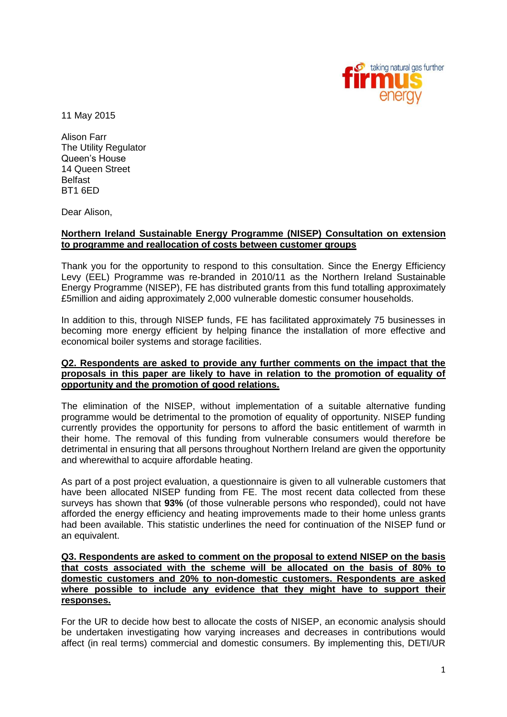

11 May 2015

Alison Farr The Utility Regulator Queen's House 14 Queen Street Belfast BT1 6ED

Dear Alison,

## **Northern Ireland Sustainable Energy Programme (NISEP) Consultation on extension to programme and reallocation of costs between customer groups**

Thank you for the opportunity to respond to this consultation. Since the Energy Efficiency Levy (EEL) Programme was re-branded in 2010/11 as the Northern Ireland Sustainable Energy Programme (NISEP), FE has distributed grants from this fund totalling approximately £5million and aiding approximately 2,000 vulnerable domestic consumer households.

In addition to this, through NISEP funds, FE has facilitated approximately 75 businesses in becoming more energy efficient by helping finance the installation of more effective and economical boiler systems and storage facilities.

## **Q2. Respondents are asked to provide any further comments on the impact that the proposals in this paper are likely to have in relation to the promotion of equality of opportunity and the promotion of good relations.**

The elimination of the NISEP, without implementation of a suitable alternative funding programme would be detrimental to the promotion of equality of opportunity. NISEP funding currently provides the opportunity for persons to afford the basic entitlement of warmth in their home. The removal of this funding from vulnerable consumers would therefore be detrimental in ensuring that all persons throughout Northern Ireland are given the opportunity and wherewithal to acquire affordable heating.

As part of a post project evaluation, a questionnaire is given to all vulnerable customers that have been allocated NISEP funding from FE. The most recent data collected from these surveys has shown that **93%** (of those vulnerable persons who responded), could not have afforded the energy efficiency and heating improvements made to their home unless grants had been available. This statistic underlines the need for continuation of the NISEP fund or an equivalent.

## **Q3. Respondents are asked to comment on the proposal to extend NISEP on the basis that costs associated with the scheme will be allocated on the basis of 80% to domestic customers and 20% to non-domestic customers. Respondents are asked where possible to include any evidence that they might have to support their responses.**

For the UR to decide how best to allocate the costs of NISEP, an economic analysis should be undertaken investigating how varying increases and decreases in contributions would affect (in real terms) commercial and domestic consumers. By implementing this, DETI/UR